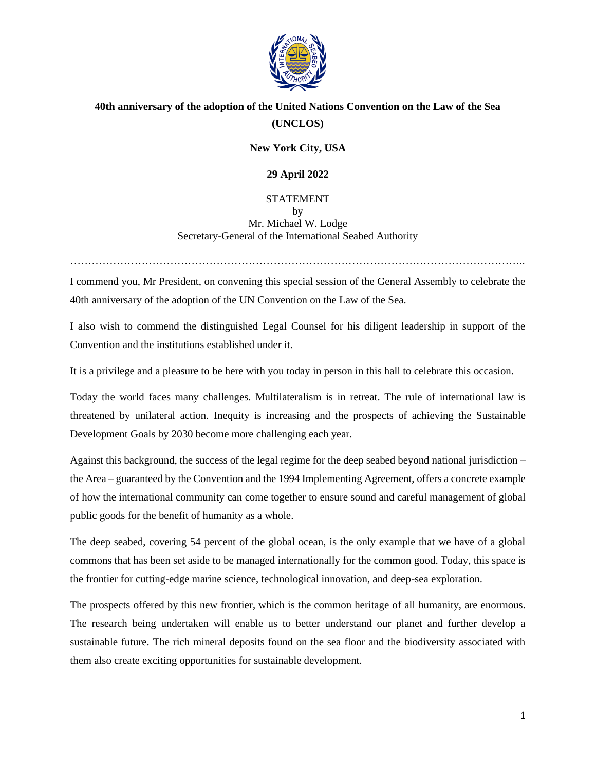

## **40th anniversary of the adoption of the United Nations Convention on the Law of the Sea (UNCLOS)**

## **New York City, USA**

## **29 April 2022**

## STATEMENT by Mr. Michael W. Lodge Secretary-General of the International Seabed Authority

I commend you, Mr President, on convening this special session of the General Assembly to celebrate the 40th anniversary of the adoption of the UN Convention on the Law of the Sea.

………………………………………………………………………………………………………………..

I also wish to commend the distinguished Legal Counsel for his diligent leadership in support of the Convention and the institutions established under it.

It is a privilege and a pleasure to be here with you today in person in this hall to celebrate this occasion.

Today the world faces many challenges. Multilateralism is in retreat. The rule of international law is threatened by unilateral action. Inequity is increasing and the prospects of achieving the Sustainable Development Goals by 2030 become more challenging each year.

Against this background, the success of the legal regime for the deep seabed beyond national jurisdiction – the Area – guaranteed by the Convention and the 1994 Implementing Agreement, offers a concrete example of how the international community can come together to ensure sound and careful management of global public goods for the benefit of humanity as a whole.

The deep seabed, covering 54 percent of the global ocean, is the only example that we have of a global commons that has been set aside to be managed internationally for the common good. Today, this space is the frontier for cutting-edge marine science, technological innovation, and deep-sea exploration.

The prospects offered by this new frontier, which is the common heritage of all humanity, are enormous. The research being undertaken will enable us to better understand our planet and further develop a sustainable future. The rich mineral deposits found on the sea floor and the biodiversity associated with them also create exciting opportunities for sustainable development.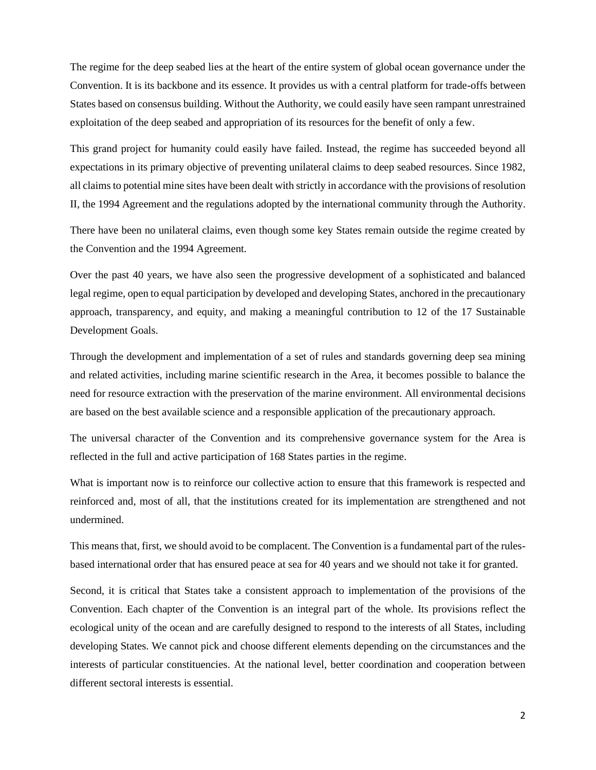The regime for the deep seabed lies at the heart of the entire system of global ocean governance under the Convention. It is its backbone and its essence. It provides us with a central platform for trade-offs between States based on consensus building. Without the Authority, we could easily have seen rampant unrestrained exploitation of the deep seabed and appropriation of its resources for the benefit of only a few.

This grand project for humanity could easily have failed. Instead, the regime has succeeded beyond all expectations in its primary objective of preventing unilateral claims to deep seabed resources. Since 1982, all claims to potential mine sites have been dealt with strictly in accordance with the provisions of resolution II, the 1994 Agreement and the regulations adopted by the international community through the Authority.

There have been no unilateral claims, even though some key States remain outside the regime created by the Convention and the 1994 Agreement.

Over the past 40 years, we have also seen the progressive development of a sophisticated and balanced legal regime, open to equal participation by developed and developing States, anchored in the precautionary approach, transparency, and equity, and making a meaningful contribution to 12 of the 17 Sustainable Development Goals.

Through the development and implementation of a set of rules and standards governing deep sea mining and related activities, including marine scientific research in the Area, it becomes possible to balance the need for resource extraction with the preservation of the marine environment. All environmental decisions are based on the best available science and a responsible application of the precautionary approach.

The universal character of the Convention and its comprehensive governance system for the Area is reflected in the full and active participation of 168 States parties in the regime.

What is important now is to reinforce our collective action to ensure that this framework is respected and reinforced and, most of all, that the institutions created for its implementation are strengthened and not undermined.

This means that, first, we should avoid to be complacent. The Convention is a fundamental part of the rulesbased international order that has ensured peace at sea for 40 years and we should not take it for granted.

Second, it is critical that States take a consistent approach to implementation of the provisions of the Convention. Each chapter of the Convention is an integral part of the whole. Its provisions reflect the ecological unity of the ocean and are carefully designed to respond to the interests of all States, including developing States. We cannot pick and choose different elements depending on the circumstances and the interests of particular constituencies. At the national level, better coordination and cooperation between different sectoral interests is essential.